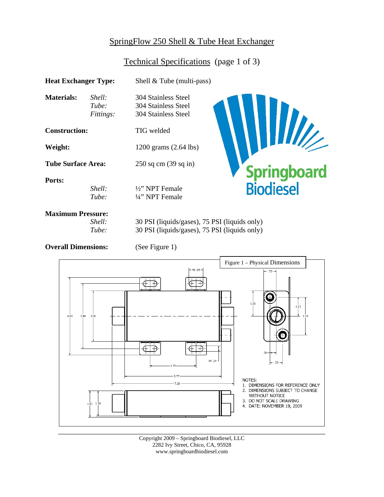# SpringFlow 250 Shell & Tube Heat Exchanger

## Technical Specifications (page 1 of 3)

| <b>Heat Exchanger Type:</b>                 |                              | Shell $&$ Tube (multi-pass)                                                                    |                          |  |
|---------------------------------------------|------------------------------|------------------------------------------------------------------------------------------------|--------------------------|--|
| Materials:                                  | Shell:<br>Tube:<br>Fittings: | 304 Stainless Steel<br>304 Stainless Steel<br>304 Stainless Steel                              |                          |  |
| <b>Construction:</b>                        |                              | <b>TIG</b> welded                                                                              |                          |  |
| Weight:                                     |                              | 1200 grams (2.64 lbs)                                                                          |                          |  |
| <b>Tube Surface Area:</b>                   |                              | $250$ sq cm $(39$ sq in)                                                                       |                          |  |
| Ports:                                      | Shell:<br>Tube:              | $\frac{1}{2}$ " NPT Female<br>$\frac{1}{4}$ " NPT Female                                       | Springboard<br>Biodiesel |  |
| <b>Maximum Pressure:</b><br>Shell:<br>Tube: |                              | 30 PSI (liquids/gases), 75 PSI (liquids only)<br>30 PSI (liquids/gases), 75 PSI (liquids only) |                          |  |

**Overall Dimensions:** (See Figure 1)



\_\_\_\_\_\_\_\_\_\_\_\_\_\_\_\_\_\_\_\_\_\_\_\_\_\_\_\_\_\_\_\_\_\_\_\_\_\_\_\_\_\_\_\_\_\_\_\_\_\_\_\_\_\_\_\_\_\_\_\_\_\_\_\_\_\_\_\_\_\_\_ Copyright 2009 – Springboard Biodiesel, LLC 2282 Ivy Street, Chico, CA, 95928 www.springboardbiodiesel.com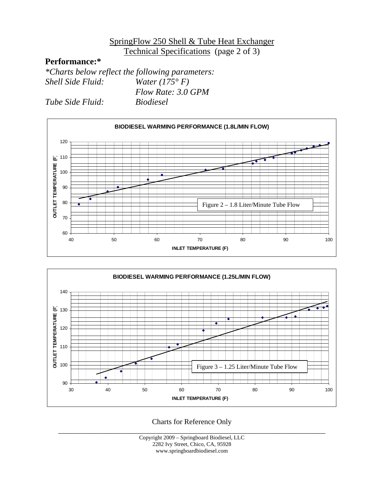#### SpringFlow 250 Shell & Tube Heat Exchanger Technical Specifications (page 2 of 3)

## **Performance:\***

*\*Charts below reflect the following parameters: Shell Side Fluid: Water (175° F) Flow Rate: 3.0 GPM* 

*Tube Side Fluid: Biodiesel* 





Charts for Reference Only

\_\_\_\_\_\_\_\_\_\_\_\_\_\_\_\_\_\_\_\_\_\_\_\_\_\_\_\_\_\_\_\_\_\_\_\_\_\_\_\_\_\_\_\_\_\_\_\_\_\_\_\_\_\_\_\_\_\_\_\_\_\_\_\_\_\_\_\_\_\_\_ Copyright 2009 – Springboard Biodiesel, LLC 2282 Ivy Street, Chico, CA, 95928 www.springboardbiodiesel.com